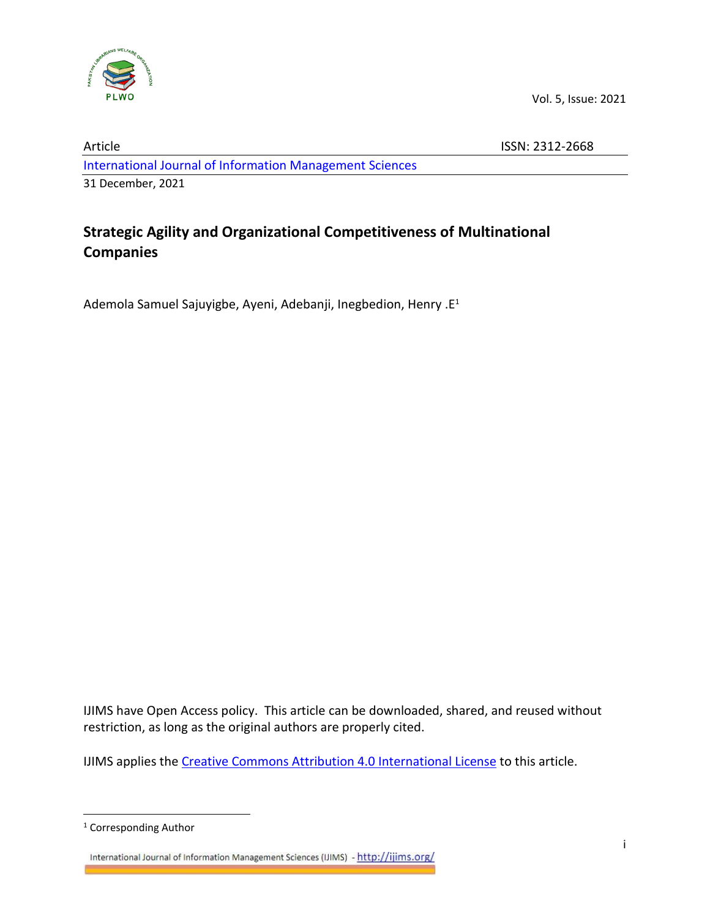

Vol. 5, Issue: 2021

Article ISSN: 2312-2668 [International Journal of Information Management Sciences](http://ijims.org/index.php/IJIMS) 31 December, 2021

# **Strategic Agility and Organizational Competitiveness of Multinational Companies**

Ademola Samuel Sajuyigbe, Ayeni, Adebanji, Inegbedion, Henry .E<sup>1</sup>

IJIMS have Open Access policy. This article can be downloaded, shared, and reused without restriction, as long as the original authors are properly cited.

IJIMS applies the [Creative Commons Attribution 4.0 International License](https://creativecommons.org/licenses/by/4.0/) to this article.

International Journal of Information Management Sciences (IJIMS) - http://ijims.org/

<sup>1</sup> Corresponding Author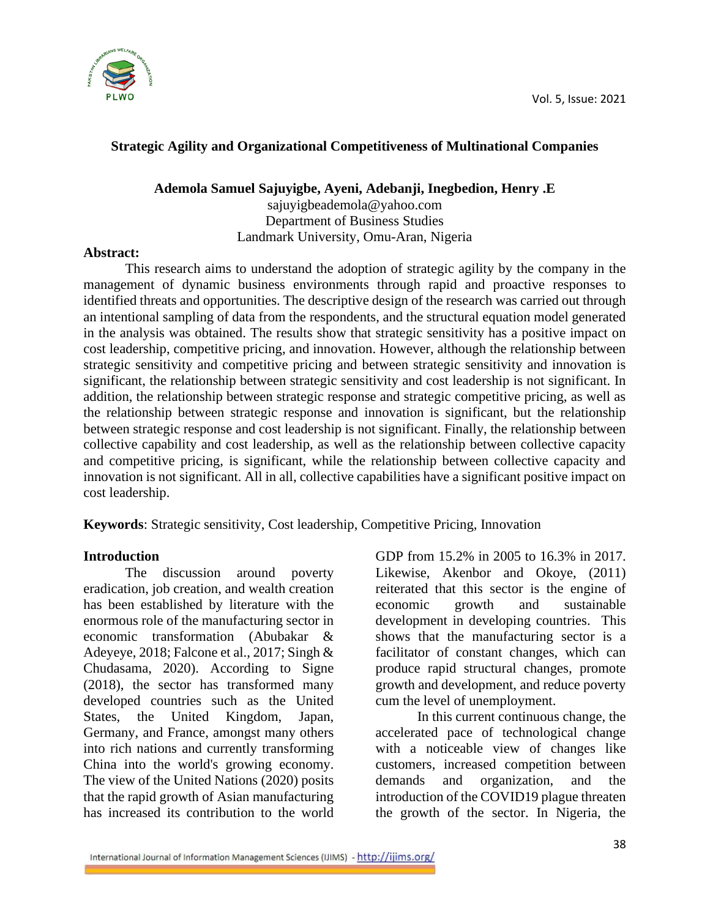

## **Strategic Agility and Organizational Competitiveness of Multinational Companies**

**Ademola Samuel Sajuyigbe, Ayeni, Adebanji, Inegbedion, Henry .E**

sajuyigbeademola@yahoo.com Department of Business Studies Landmark University, Omu-Aran, Nigeria

#### **Abstract:**

This research aims to understand the adoption of strategic agility by the company in the management of dynamic business environments through rapid and proactive responses to identified threats and opportunities. The descriptive design of the research was carried out through an intentional sampling of data from the respondents, and the structural equation model generated in the analysis was obtained. The results show that strategic sensitivity has a positive impact on cost leadership, competitive pricing, and innovation. However, although the relationship between strategic sensitivity and competitive pricing and between strategic sensitivity and innovation is significant, the relationship between strategic sensitivity and cost leadership is not significant. In addition, the relationship between strategic response and strategic competitive pricing, as well as the relationship between strategic response and innovation is significant, but the relationship between strategic response and cost leadership is not significant. Finally, the relationship between collective capability and cost leadership, as well as the relationship between collective capacity and competitive pricing, is significant, while the relationship between collective capacity and innovation is not significant. All in all, collective capabilities have a significant positive impact on cost leadership.

**Keywords**: Strategic sensitivity, Cost leadership, Competitive Pricing, Innovation

#### **Introduction**

The discussion around poverty eradication, job creation, and wealth creation has been established by literature with the enormous role of the manufacturing sector in economic transformation (Abubakar & Adeyeye, 2018; Falcone et al., 2017; Singh & Chudasama, 2020). According to Signe (2018), the sector has transformed many developed countries such as the United States, the United Kingdom, Japan, Germany, and France, amongst many others into rich nations and currently transforming China into the world's growing economy. The view of the United Nations (2020) posits that the rapid growth of Asian manufacturing has increased its contribution to the world

GDP from 15.2% in 2005 to 16.3% in 2017. Likewise, Akenbor and Okoye, (2011) reiterated that this sector is the engine of economic growth and sustainable development in developing countries. This shows that the manufacturing sector is a facilitator of constant changes, which can produce rapid structural changes, promote growth and development, and reduce poverty cum the level of unemployment.

In this current continuous change, the accelerated pace of technological change with a noticeable view of changes like customers, increased competition between demands and organization, and the introduction of the COVID19 plague threaten the growth of the sector. In Nigeria, the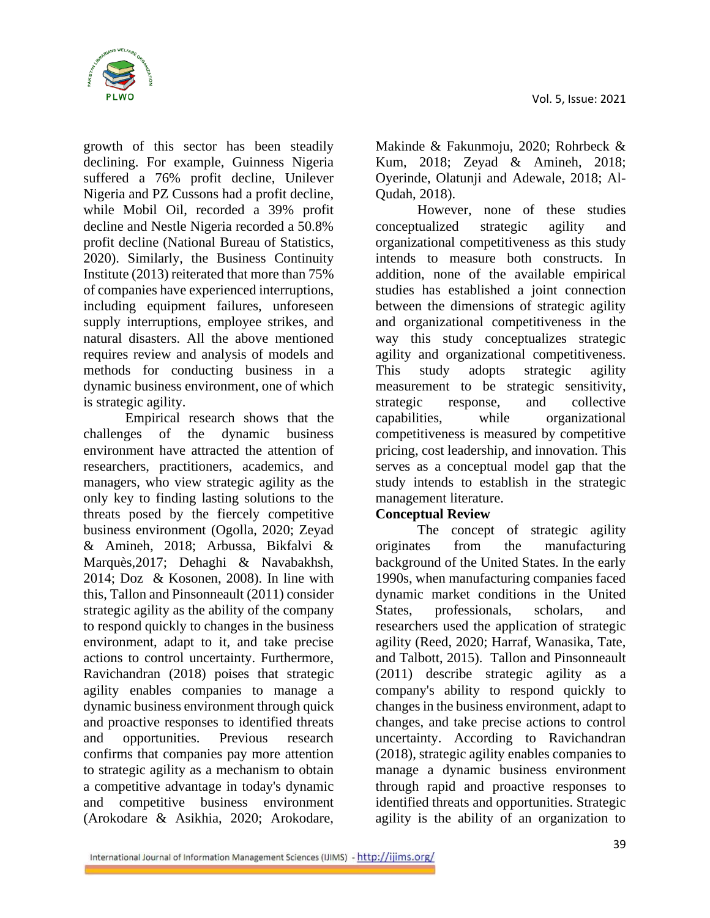

growth of this sector has been steadily declining. For example, Guinness Nigeria suffered a 76% profit decline, Unilever Nigeria and PZ Cussons had a profit decline, while Mobil Oil, recorded a 39% profit decline and Nestle Nigeria recorded a 50.8% profit decline (National Bureau of Statistics, 2020). Similarly, the Business Continuity Institute (2013) reiterated that more than 75% of companies have experienced interruptions, including equipment failures, unforeseen supply interruptions, employee strikes, and natural disasters. All the above mentioned requires review and analysis of models and methods for conducting business in a dynamic business environment, one of which is strategic agility.

Empirical research shows that the challenges of the dynamic business environment have attracted the attention of researchers, practitioners, academics, and managers, who view strategic agility as the only key to finding lasting solutions to the threats posed by the fiercely competitive business environment (Ogolla, 2020; Zeyad & Amineh, 2018; Arbussa, Bikfalvi & Marquès,2017; Dehaghi & Navabakhsh, 2014; Doz & Kosonen, 2008). In line with this, Tallon and Pinsonneault (2011) consider strategic agility as the ability of the company to respond quickly to changes in the business environment, adapt to it, and take precise actions to control uncertainty. Furthermore, Ravichandran (2018) poises that strategic agility enables companies to manage a dynamic business environment through quick and proactive responses to identified threats and opportunities. Previous research confirms that companies pay more attention to strategic agility as a mechanism to obtain a competitive advantage in today's dynamic and competitive business environment (Arokodare & Asikhia, 2020; Arokodare,

Makinde & Fakunmoju, 2020; Rohrbeck & Kum, 2018; Zeyad & Amineh, 2018; Oyerinde, Olatunji and Adewale, 2018; Al-Qudah, 2018).

However, none of these studies conceptualized strategic agility and organizational competitiveness as this study intends to measure both constructs. In addition, none of the available empirical studies has established a joint connection between the dimensions of strategic agility and organizational competitiveness in the way this study conceptualizes strategic agility and organizational competitiveness. This study adopts strategic agility measurement to be strategic sensitivity, strategic response, and collective capabilities, while organizational competitiveness is measured by competitive pricing, cost leadership, and innovation. This serves as a conceptual model gap that the study intends to establish in the strategic management literature.

#### **Conceptual Review**

The concept of strategic agility originates from the manufacturing background of the United States. In the early 1990s, when manufacturing companies faced dynamic market conditions in the United States, professionals, scholars, and researchers used the application of strategic agility (Reed, 2020; Harraf, Wanasika, Tate, and Talbott, 2015). Tallon and Pinsonneault (2011) describe strategic agility as a company's ability to respond quickly to changes in the business environment, adapt to changes, and take precise actions to control uncertainty. According to Ravichandran (2018), strategic agility enables companies to manage a dynamic business environment through rapid and proactive responses to identified threats and opportunities. Strategic agility is the ability of an organization to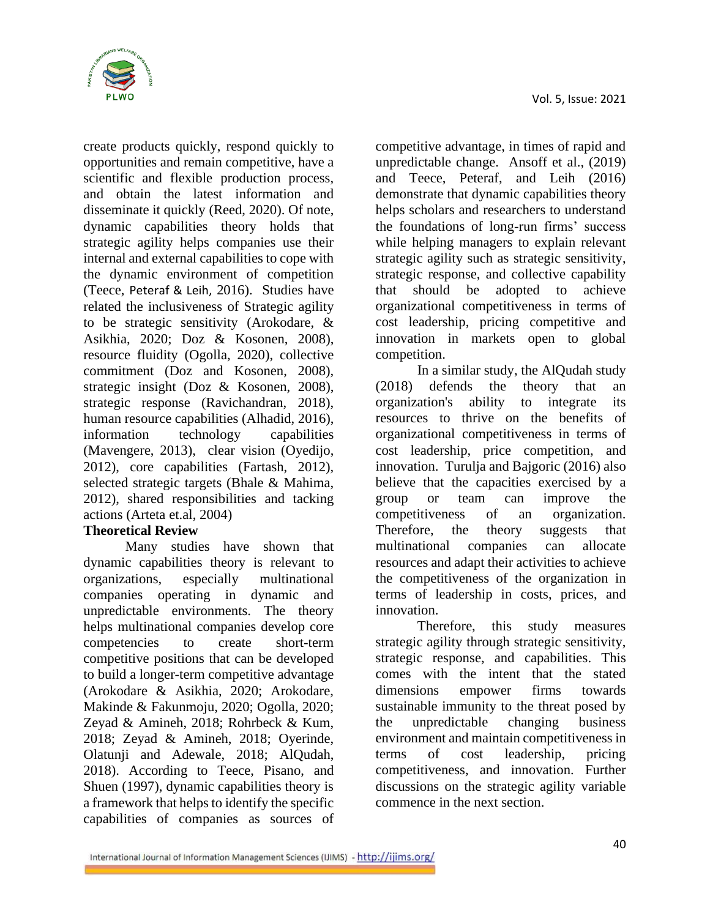

create products quickly, respond quickly to opportunities and remain competitive, have a scientific and flexible production process, and obtain the latest information and disseminate it quickly (Reed, 2020). Of note, dynamic capabilities theory holds that strategic agility helps companies use their internal and external capabilities to cope with the dynamic environment of competition (Teece, Peteraf & Leih, 2016). Studies have related the inclusiveness of Strategic agility to be strategic sensitivity (Arokodare, & Asikhia, 2020; Doz & Kosonen, 2008), resource fluidity (Ogolla, 2020), collective commitment (Doz and Kosonen, 2008), strategic insight (Doz & Kosonen, 2008), strategic response (Ravichandran, 2018), human resource capabilities (Alhadid, 2016), information technology capabilities (Mavengere, 2013), clear vision (Oyedijo, 2012), core capabilities (Fartash, 2012), selected strategic targets (Bhale & Mahima, 2012), shared responsibilities and tacking actions (Arteta et.al, 2004)

#### **Theoretical Review**

Many studies have shown that dynamic capabilities theory is relevant to organizations, especially multinational companies operating in dynamic and unpredictable environments. The theory helps multinational companies develop core competencies to create short-term competitive positions that can be developed to build a longer-term competitive advantage (Arokodare & Asikhia, 2020; Arokodare, Makinde & Fakunmoju, 2020; Ogolla, 2020; Zeyad & Amineh, 2018; Rohrbeck & Kum, 2018; Zeyad & Amineh, 2018; Oyerinde, Olatunji and Adewale, 2018; AlQudah, 2018). According to Teece, Pisano, and Shuen (1997), dynamic capabilities theory is a framework that helps to identify the specific capabilities of companies as sources of

competitive advantage, in times of rapid and unpredictable change. Ansoff et al., (2019) and Teece, Peteraf, and Leih (2016) demonstrate that dynamic capabilities theory helps scholars and researchers to understand the foundations of long-run firms' success while helping managers to explain relevant strategic agility such as strategic sensitivity, strategic response, and collective capability that should be adopted to achieve organizational competitiveness in terms of cost leadership, pricing competitive and innovation in markets open to global competition.

In a similar study, the AlQudah study (2018) defends the theory that an organization's ability to integrate its resources to thrive on the benefits of organizational competitiveness in terms of cost leadership, price competition, and innovation. Turulja and Bajgoric (2016) also believe that the capacities exercised by a group or team can improve the competitiveness of an organization. Therefore, the theory suggests that multinational companies can allocate resources and adapt their activities to achieve the competitiveness of the organization in terms of leadership in costs, prices, and innovation.

Therefore, this study measures strategic agility through strategic sensitivity, strategic response, and capabilities. This comes with the intent that the stated dimensions empower firms towards sustainable immunity to the threat posed by the unpredictable changing business environment and maintain competitiveness in terms of cost leadership, pricing competitiveness, and innovation. Further discussions on the strategic agility variable commence in the next section.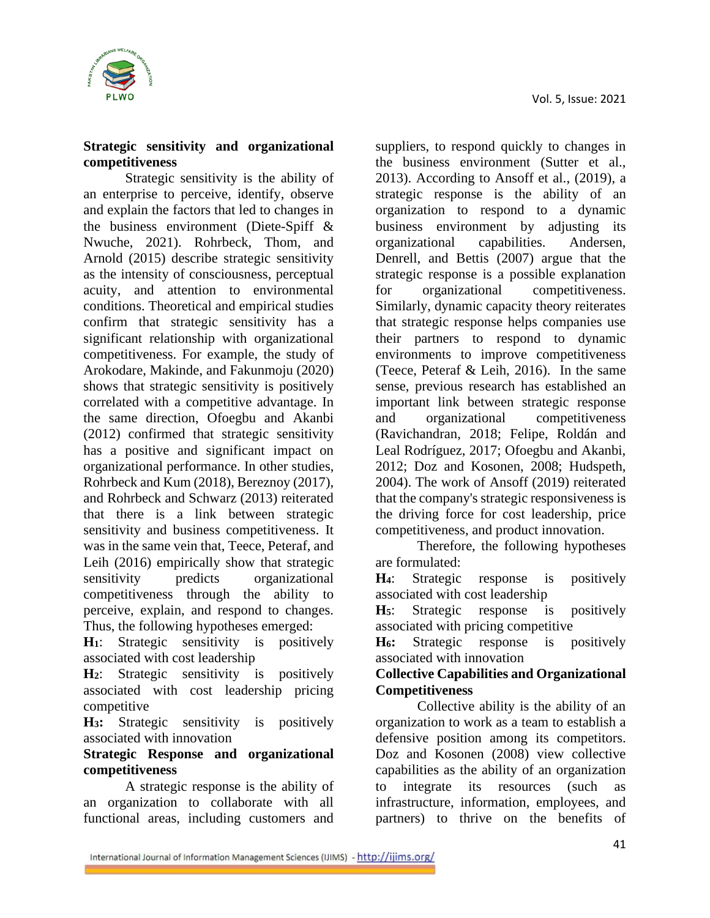

## **Strategic sensitivity and organizational competitiveness**

Strategic sensitivity is the ability of an enterprise to perceive, identify, observe and explain the factors that led to changes in the business environment (Diete-Spiff & Nwuche, 2021). Rohrbeck, Thom, and Arnold (2015) describe strategic sensitivity as the intensity of consciousness, perceptual acuity, and attention to environmental conditions. Theoretical and empirical studies confirm that strategic sensitivity has a significant relationship with organizational competitiveness. For example, the study of Arokodare, Makinde, and Fakunmoju (2020) shows that strategic sensitivity is positively correlated with a competitive advantage. In the same direction, Ofoegbu and Akanbi (2012) confirmed that strategic sensitivity has a positive and significant impact on organizational performance. In other studies, Rohrbeck and Kum (2018), Bereznoy (2017), and Rohrbeck and Schwarz (2013) reiterated that there is a link between strategic sensitivity and business competitiveness. It was in the same vein that, Teece, Peteraf, and Leih (2016) empirically show that strategic sensitivity predicts organizational competitiveness through the ability to perceive, explain, and respond to changes. Thus, the following hypotheses emerged:

**H1**: Strategic sensitivity is positively associated with cost leadership

**H2**: Strategic sensitivity is positively associated with cost leadership pricing competitive

**H3:** Strategic sensitivity is positively associated with innovation

## **Strategic Response and organizational competitiveness**

A strategic response is the ability of an organization to collaborate with all functional areas, including customers and

suppliers, to respond quickly to changes in the business environment (Sutter et al., 2013). According to Ansoff et al., (2019), a strategic response is the ability of an organization to respond to a dynamic business environment by adjusting its organizational capabilities. Andersen, Denrell, and Bettis (2007) argue that the strategic response is a possible explanation for organizational competitiveness. Similarly, dynamic capacity theory reiterates that strategic response helps companies use their partners to respond to dynamic environments to improve competitiveness (Teece, Peteraf & Leih, 2016). In the same sense, previous research has established an important link between strategic response and organizational competitiveness (Ravichandran, 2018; Felipe, Roldán and Leal Rodríguez, 2017; Ofoegbu and Akanbi, 2012; Doz and Kosonen, 2008; Hudspeth, 2004). The work of Ansoff (2019) reiterated that the company's strategic responsiveness is the driving force for cost leadership, price competitiveness, and product innovation.

Therefore, the following hypotheses are formulated:

**H4**: Strategic response is positively associated with cost leadership

**H5**: Strategic response is positively associated with pricing competitive

**H6:** Strategic response is positively associated with innovation

## **Collective Capabilities and Organizational Competitiveness**

Collective ability is the ability of an organization to work as a team to establish a defensive position among its competitors. Doz and Kosonen (2008) view collective capabilities as the ability of an organization to integrate its resources (such infrastructure, information, employees, and partners) to thrive on the benefits of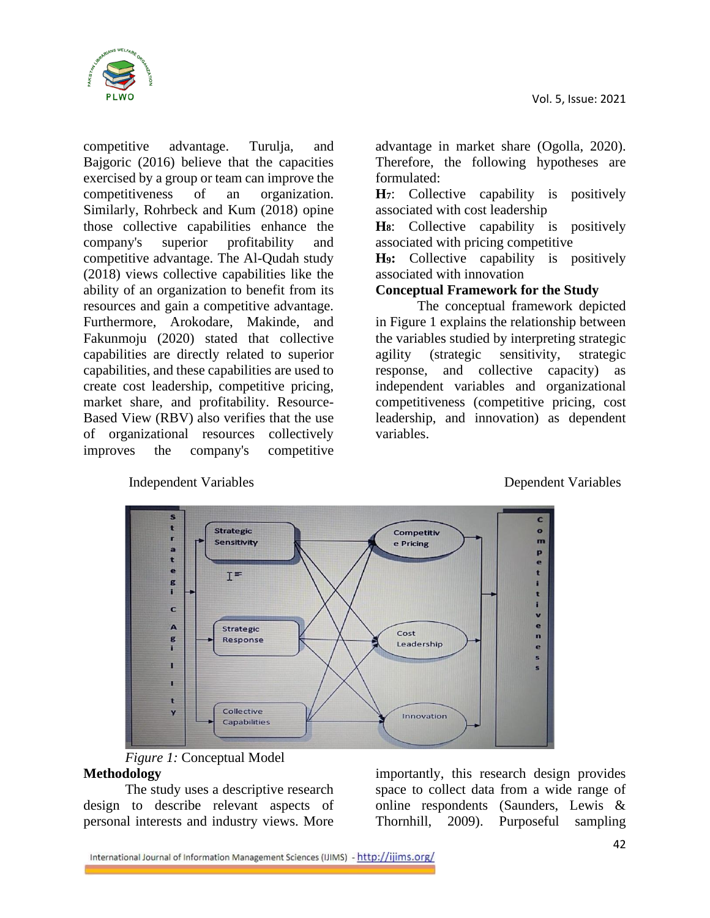Vol. 5, Issue: 2021



competitive advantage. Turulja, and Bajgoric (2016) believe that the capacities exercised by a group or team can improve the competitiveness of an organization. Similarly, Rohrbeck and Kum (2018) opine those collective capabilities enhance the company's superior profitability and competitive advantage. The Al-Qudah study (2018) views collective capabilities like the ability of an organization to benefit from its resources and gain a competitive advantage. Furthermore, Arokodare, Makinde, and Fakunmoju (2020) stated that collective capabilities are directly related to superior capabilities, and these capabilities are used to create cost leadership, competitive pricing, market share, and profitability. Resource-Based View (RBV) also verifies that the use of organizational resources collectively improves the company's competitive

advantage in market share (Ogolla, 2020). Therefore, the following hypotheses are formulated:

**H7**: Collective capability is positively associated with cost leadership

**H8**: Collective capability is positively associated with pricing competitive

**H9:** Collective capability is positively associated with innovation

#### **Conceptual Framework for the Study**

The conceptual framework depicted in Figure 1 explains the relationship between the variables studied by interpreting strategic agility (strategic sensitivity, strategic response, and collective capacity) as independent variables and organizational competitiveness (competitive pricing, cost leadership, and innovation) as dependent variables.



Independent Variables Dependent Variables

#### *Figure 1:* Conceptual Model **Methodology**

The study uses a descriptive research design to describe relevant aspects of personal interests and industry views. More

importantly, this research design provides space to collect data from a wide range of online respondents (Saunders, Lewis & Thornhill, 2009). Purposeful sampling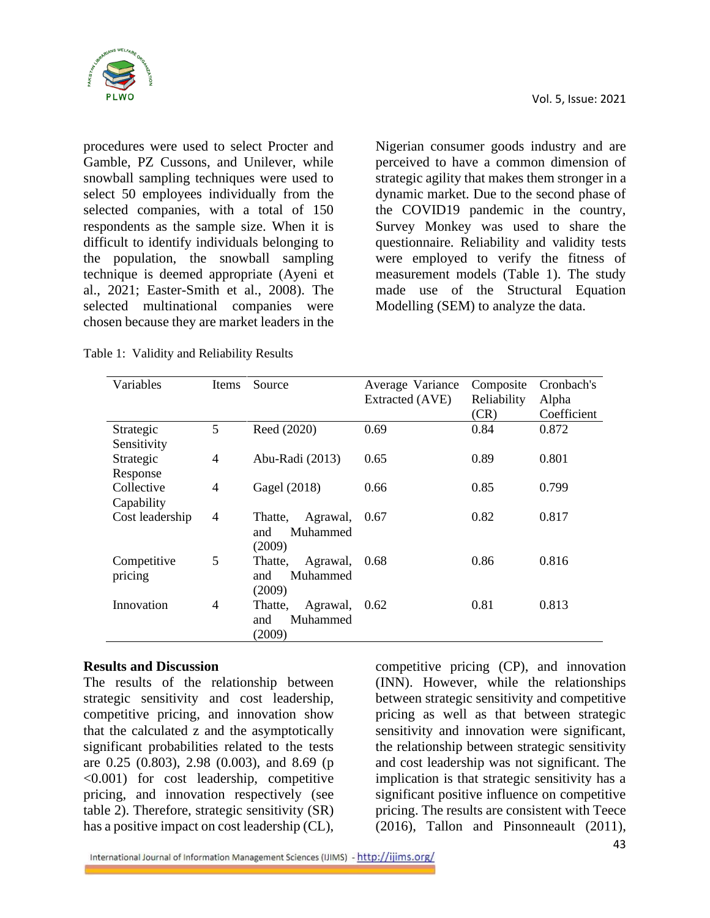

procedures were used to select Procter and Gamble, PZ Cussons, and Unilever, while snowball sampling techniques were used to select 50 employees individually from the selected companies, with a total of 150 respondents as the sample size. When it is difficult to identify individuals belonging to the population, the snowball sampling technique is deemed appropriate (Ayeni et al., 2021; Easter-Smith et al., 2008). The selected multinational companies were chosen because they are market leaders in the

Table 1: Validity and Reliability Results

Nigerian consumer goods industry and are perceived to have a common dimension of strategic agility that makes them stronger in a dynamic market. Due to the second phase of the COVID19 pandemic in the country, Survey Monkey was used to share the questionnaire. Reliability and validity tests were employed to verify the fitness of measurement models (Table 1). The study made use of the Structural Equation Modelling (SEM) to analyze the data.

| Variables       | Items          | Source              | Average Variance       | Composite   | Cronbach's  |
|-----------------|----------------|---------------------|------------------------|-------------|-------------|
|                 |                |                     | <b>Extracted (AVE)</b> | Reliability | Alpha       |
|                 |                |                     |                        | (CR)        | Coefficient |
| Strategic       | 5              | Reed (2020)         | 0.69                   | 0.84        | 0.872       |
| Sensitivity     |                |                     |                        |             |             |
| Strategic       | 4              | Abu-Radi (2013)     | 0.65                   | 0.89        | 0.801       |
| Response        |                |                     |                        |             |             |
| Collective      | 4              | Gagel (2018)        | 0.66                   | 0.85        | 0.799       |
| Capability      |                |                     |                        |             |             |
| Cost leadership | $\overline{4}$ | Agrawal,<br>Thatte, | 0.67                   | 0.82        | 0.817       |
|                 |                | Muhammed<br>and     |                        |             |             |
|                 |                | (2009)              |                        |             |             |
| Competitive     | 5              | Agrawal,<br>Thatte, | 0.68                   | 0.86        | 0.816       |
| pricing         |                | Muhammed<br>and     |                        |             |             |
|                 |                | (2009)              |                        |             |             |
| Innovation      | 4              | Agrawal,<br>Thatte, | 0.62                   | 0.81        | 0.813       |
|                 |                | Muhammed<br>and     |                        |             |             |
|                 |                | (2009)              |                        |             |             |

#### **Results and Discussion**

The results of the relationship between strategic sensitivity and cost leadership, competitive pricing, and innovation show that the calculated z and the asymptotically significant probabilities related to the tests are 0.25 (0.803), 2.98 (0.003), and 8.69 (p <0.001) for cost leadership, competitive pricing, and innovation respectively (see table 2). Therefore, strategic sensitivity (SR) has a positive impact on cost leadership (CL),

competitive pricing (CP), and innovation (INN). However, while the relationships between strategic sensitivity and competitive pricing as well as that between strategic sensitivity and innovation were significant, the relationship between strategic sensitivity and cost leadership was not significant. The implication is that strategic sensitivity has a significant positive influence on competitive pricing. The results are consistent with Teece (2016), Tallon and Pinsonneault (2011),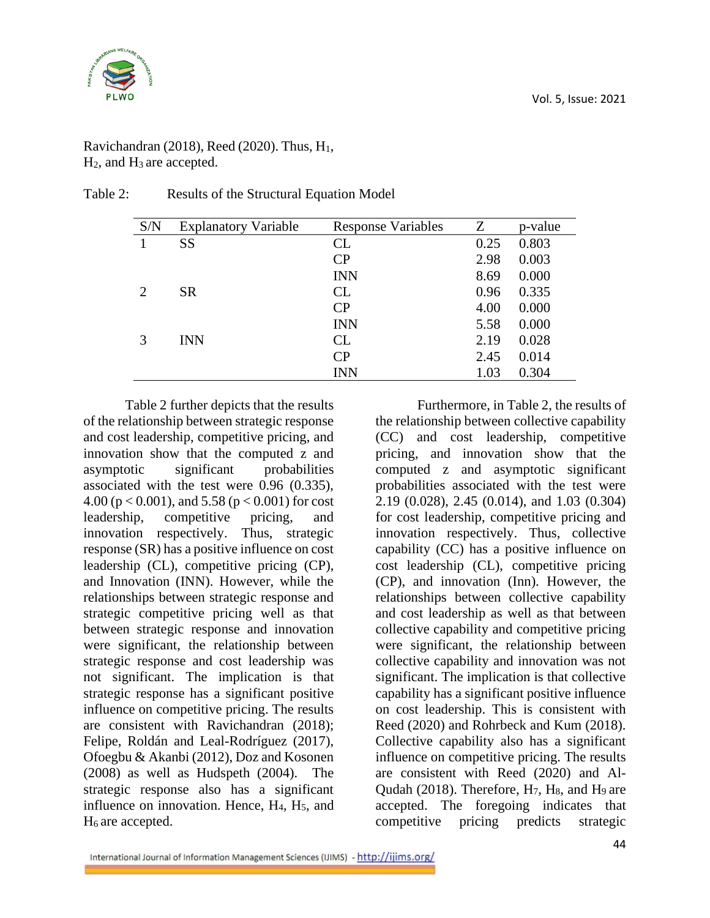

| S/N            | <b>Explanatory Variable</b> | <b>Response Variables</b> | Z    | p-value |
|----------------|-----------------------------|---------------------------|------|---------|
|                | <b>SS</b>                   | CL                        | 0.25 | 0.803   |
|                |                             | CP                        | 2.98 | 0.003   |
|                |                             | <b>INN</b>                | 8.69 | 0.000   |
| $\overline{2}$ | <b>SR</b>                   | CL                        | 0.96 | 0.335   |
|                |                             | CP                        | 4.00 | 0.000   |
|                |                             | <b>INN</b>                | 5.58 | 0.000   |
|                | <b>INN</b>                  | CL                        | 2.19 | 0.028   |
|                |                             | CP                        | 2.45 | 0.014   |
|                |                             | <b>INN</b>                | 1.03 | 0.304   |

#### Table 2: Results of the Structural Equation Model

Table 2 further depicts that the results of the relationship between strategic response and cost leadership, competitive pricing, and innovation show that the computed z and asymptotic significant probabilities associated with the test were 0.96 (0.335), 4.00 ( $p < 0.001$ ), and 5.58 ( $p < 0.001$ ) for cost leadership, competitive pricing, and innovation respectively. Thus, strategic response (SR) has a positive influence on cost leadership (CL), competitive pricing (CP), and Innovation (INN). However, while the relationships between strategic response and strategic competitive pricing well as that between strategic response and innovation were significant, the relationship between strategic response and cost leadership was not significant. The implication is that strategic response has a significant positive influence on competitive pricing. The results are consistent with Ravichandran (2018); Felipe, Roldán and Leal-Rodríguez (2017), Ofoegbu & Akanbi (2012), Doz and Kosonen (2008) as well as Hudspeth (2004). The strategic response also has a significant influence on innovation. Hence,  $H_4$ ,  $H_5$ , and  $H_6$  are accepted.

Furthermore, in Table 2, the results of the relationship between collective capability (CC) and cost leadership, competitive pricing, and innovation show that the computed z and asymptotic significant probabilities associated with the test were 2.19 (0.028), 2.45 (0.014), and 1.03 (0.304) for cost leadership, competitive pricing and innovation respectively. Thus, collective capability (CC) has a positive influence on cost leadership (CL), competitive pricing (CP), and innovation (Inn). However, the relationships between collective capability and cost leadership as well as that between collective capability and competitive pricing were significant, the relationship between collective capability and innovation was not significant. The implication is that collective capability has a significant positive influence on cost leadership. This is consistent with Reed (2020) and Rohrbeck and Kum (2018). Collective capability also has a significant influence on competitive pricing. The results are consistent with Reed (2020) and Al-Qudah (2018). Therefore,  $H_7$ ,  $H_8$ , and  $H_9$  are accepted. The foregoing indicates that competitive pricing predicts strategic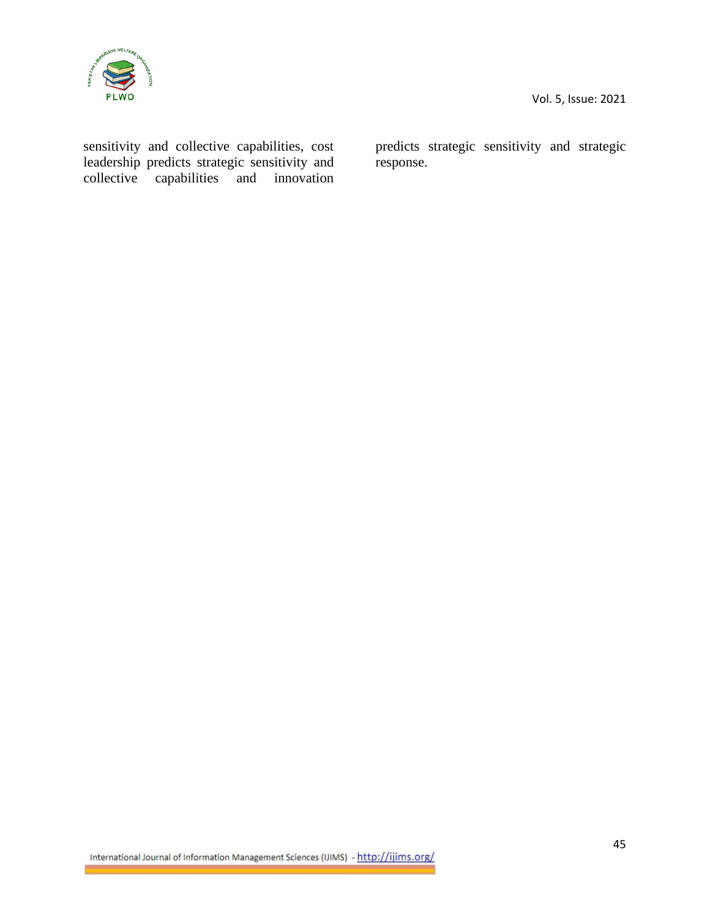

sensitivity and collective capabilities, cost leadership predicts strategic sensitivity and collective capabilities and innovation

predicts strategic sensitivity and strategic response.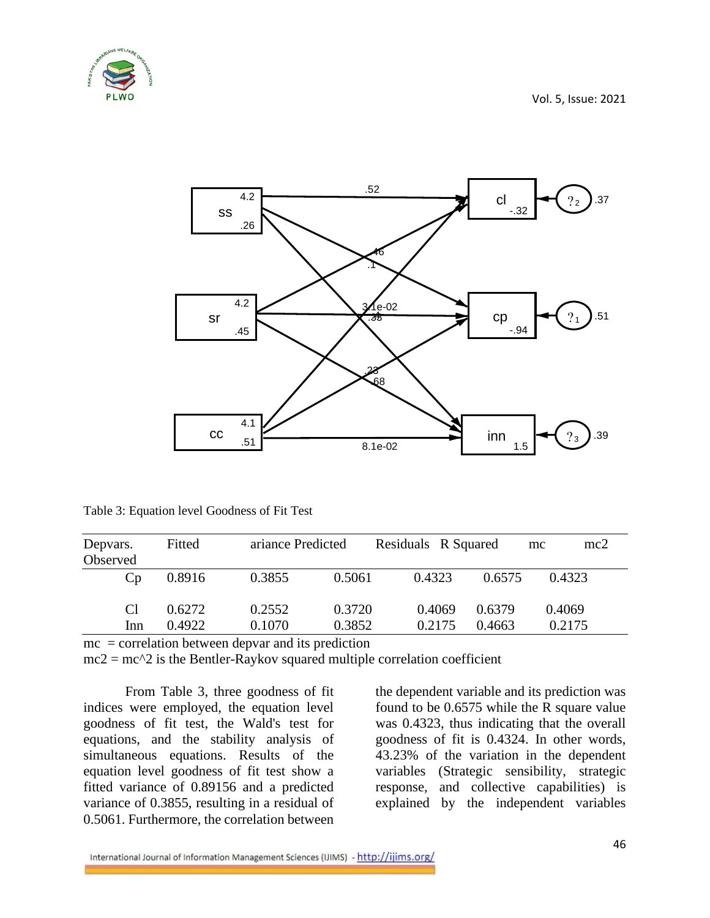



Table 3: Equation level Goodness of Fit Test

| Depvars.<br>Observed | Fitted | ariance Predicted |        | Residuals R Squared |        | mc2<br>mc |  |
|----------------------|--------|-------------------|--------|---------------------|--------|-----------|--|
| Cp                   | 0.8916 | 0.3855            | 0.5061 | 0.4323              | 0.6575 | 0.4323    |  |
| C <sub>1</sub>       | 0.6272 | 0.2552            | 0.3720 | 0.4069              | 0.6379 | 0.4069    |  |
| Inn                  | 0.4922 | 0.1070            | 0.3852 | 0.2175              | 0.4663 | 0.2175    |  |

 $mc = correlation$  between depvar and its prediction

 $mc2 = mc^2$  is the Bentler-Raykov squared multiple correlation coefficient

From Table 3, three goodness of fit indices were employed, the equation level goodness of fit test, the Wald's test for equations, and the stability analysis of simultaneous equations. Results of the equation level goodness of fit test show a fitted variance of 0.89156 and a predicted variance of 0.3855, resulting in a residual of 0.5061. Furthermore, the correlation between

the dependent variable and its prediction was found to be 0.6575 while the R square value was 0.4323, thus indicating that the overall goodness of fit is 0.4324. In other words, 43.23% of the variation in the dependent variables (Strategic sensibility, strategic response, and collective capabilities) is explained by the independent variables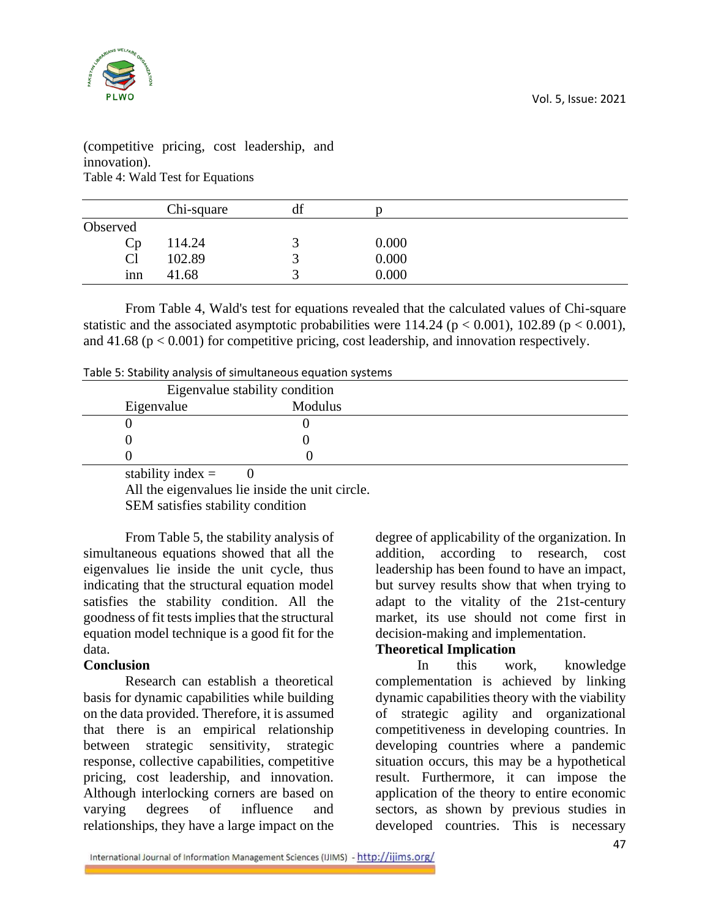

(competitive pricing, cost leadership, and innovation). Table 4: Wald Test for Equations

|                 | Chi-square | df |       |  |
|-----------------|------------|----|-------|--|
| Observed        |            |    |       |  |
| Cp              | 114.24     |    | 0.000 |  |
| Cl              | 102.89     |    | 0.000 |  |
| 1 <sub>nn</sub> | 41.68      |    | 0.000 |  |
|                 |            |    |       |  |

From Table 4, Wald's test for equations revealed that the calculated values of Chi-square statistic and the associated asymptotic probabilities were 114.24 ( $p < 0.001$ ), 102.89 ( $p < 0.001$ ), and  $41.68$  ( $p < 0.001$ ) for competitive pricing, cost leadership, and innovation respectively.

|  | Table 5: Stability analysis of simultaneous equation systems |
|--|--------------------------------------------------------------|
|--|--------------------------------------------------------------|

| Eigenvalue stability condition |                     |         |  |
|--------------------------------|---------------------|---------|--|
|                                | Eigenvalue          | Modulus |  |
|                                |                     |         |  |
|                                |                     |         |  |
|                                |                     |         |  |
|                                | stability index $=$ |         |  |

stability index  $=$  0

All the eigenvalues lie inside the unit circle.

SEM satisfies stability condition

From Table 5, the stability analysis of simultaneous equations showed that all the eigenvalues lie inside the unit cycle, thus indicating that the structural equation model satisfies the stability condition. All the goodness of fit tests implies that the structural equation model technique is a good fit for the data.

#### **Conclusion**

Research can establish a theoretical basis for dynamic capabilities while building on the data provided. Therefore, it is assumed that there is an empirical relationship between strategic sensitivity, strategic response, collective capabilities, competitive pricing, cost leadership, and innovation. Although interlocking corners are based on varying degrees of influence and relationships, they have a large impact on the

degree of applicability of the organization. In addition, according to research, cost leadership has been found to have an impact, but survey results show that when trying to adapt to the vitality of the 21st-century market, its use should not come first in decision-making and implementation.

## **Theoretical Implication**

In this work, knowledge complementation is achieved by linking dynamic capabilities theory with the viability of strategic agility and organizational competitiveness in developing countries. In developing countries where a pandemic situation occurs, this may be a hypothetical result. Furthermore, it can impose the application of the theory to entire economic sectors, as shown by previous studies in developed countries. This is necessary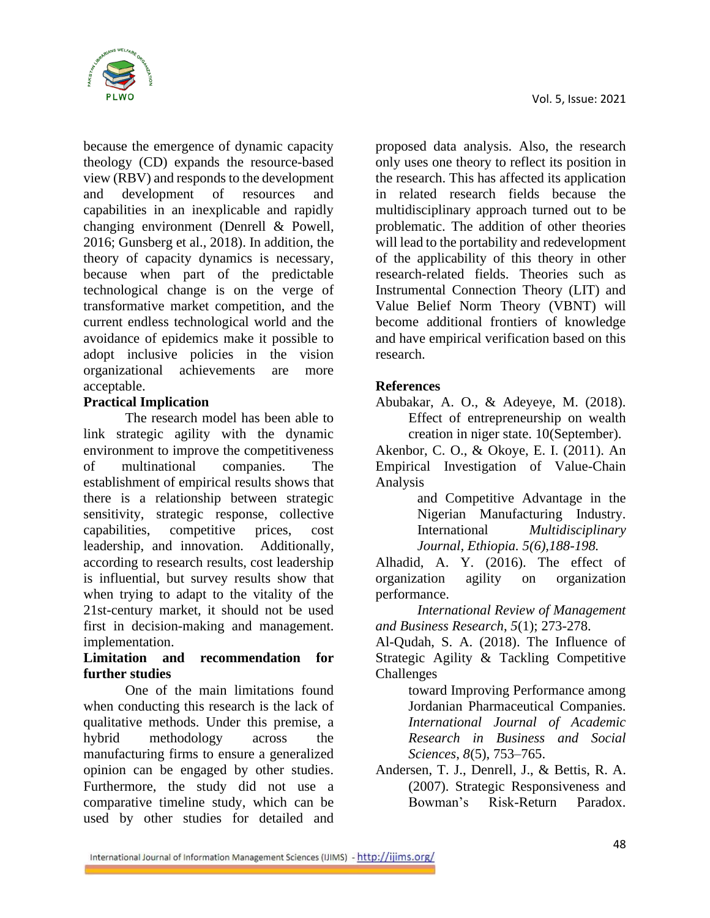

because the emergence of dynamic capacity theology (CD) expands the resource-based view (RBV) and responds to the development and development of resources and capabilities in an inexplicable and rapidly changing environment (Denrell & Powell, 2016; Gunsberg et al., 2018). In addition, the theory of capacity dynamics is necessary, because when part of the predictable technological change is on the verge of transformative market competition, and the current endless technological world and the avoidance of epidemics make it possible to adopt inclusive policies in the vision organizational achievements are more acceptable.

## **Practical Implication**

The research model has been able to link strategic agility with the dynamic environment to improve the competitiveness of multinational companies. The establishment of empirical results shows that there is a relationship between strategic sensitivity, strategic response, collective capabilities, competitive prices, cost leadership, and innovation. Additionally, according to research results, cost leadership is influential, but survey results show that when trying to adapt to the vitality of the 21st-century market, it should not be used first in decision-making and management. implementation.

## **Limitation and recommendation for further studies**

One of the main limitations found when conducting this research is the lack of qualitative methods. Under this premise, a hybrid methodology across the manufacturing firms to ensure a generalized opinion can be engaged by other studies. Furthermore, the study did not use a comparative timeline study, which can be used by other studies for detailed and

proposed data analysis. Also, the research only uses one theory to reflect its position in the research. This has affected its application in related research fields because the multidisciplinary approach turned out to be problematic. The addition of other theories will lead to the portability and redevelopment of the applicability of this theory in other research-related fields. Theories such as Instrumental Connection Theory (LIT) and Value Belief Norm Theory (VBNT) will become additional frontiers of knowledge and have empirical verification based on this research.

## **References**

Abubakar, A. O., & Adeyeye, M. (2018). Effect of entrepreneurship on wealth creation in niger state. 10(September).

Akenbor, C. O., & Okoye, E. I. (2011). An Empirical Investigation of Value-Chain Analysis

and Competitive Advantage in the Nigerian Manufacturing Industry. International *Multidisciplinary Journal, Ethiopia. 5(6),188-198.*

Alhadid, A. Y. (2016). The effect of organization agility on organization performance.

*International Review of Management and Business Research*, *5*(1); 273-278.

Al-Qudah, S. A. (2018). The Influence of Strategic Agility & Tackling Competitive Challenges

toward Improving Performance among Jordanian Pharmaceutical Companies. *International Journal of Academic Research in Business and Social Sciences*, *8*(5), 753–765.

Andersen, T. J., Denrell, J., & Bettis, R. A. (2007). Strategic Responsiveness and Bowman's Risk-Return Paradox.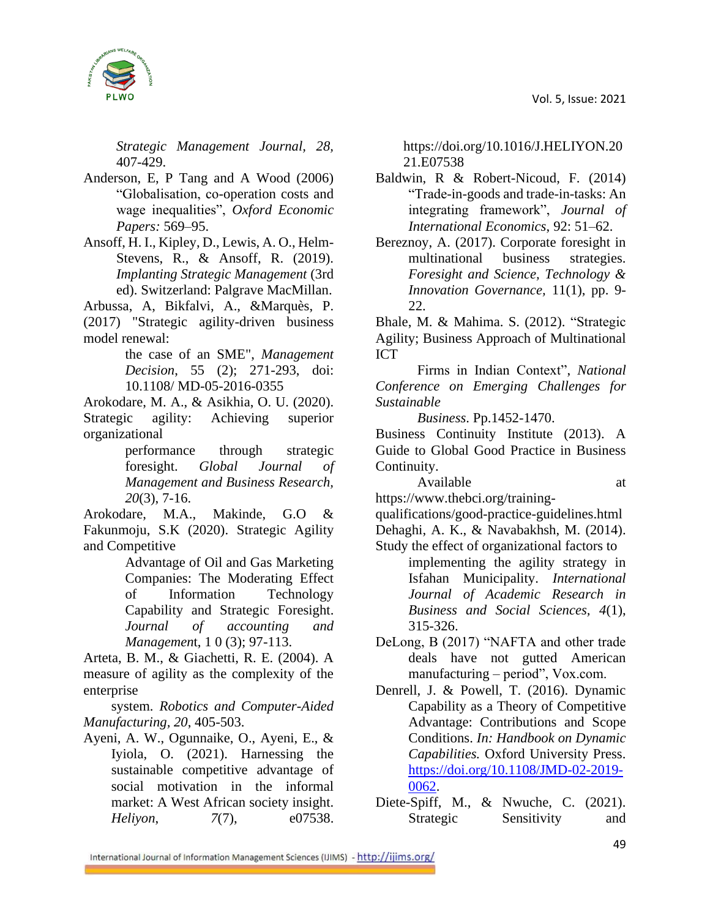

*Strategic Management Journal, 28,*  407-429.

- Anderson, E, P Tang and A Wood (2006) "Globalisation, co-operation costs and wage inequalities", *Oxford Economic Papers:* 569–95.
- Ansoff, H. I., Kipley, D., Lewis, A. O., Helm-Stevens, R., & Ansoff, R. (2019). *Implanting Strategic Management* (3rd ed). Switzerland: Palgrave MacMillan.

Arbussa, A, Bikfalvi, A., &Marquès, P. (2017) "Strategic agility-driven business model renewal:

> the case of an SME", *Management Decision*, 55 (2); 271-293, doi: 10.1108/ MD-05-2016-0355

Arokodare, M. A., & Asikhia, O. U. (2020). Strategic agility: Achieving superior organizational

> performance through strategic foresight. *Global Journal of Management and Business Research, 20*(3), 7-16.

Arokodare, M.A., Makinde, G.O & Fakunmoju, S.K (2020). Strategic Agility and Competitive

> Advantage of Oil and Gas Marketing Companies: The Moderating Effect of Information Technology Capability and Strategic Foresight. *Journal of accounting and Managemen*t, 1 0 (3); 97-113.

Arteta, B. M., & Giachetti, R. E. (2004). A measure of agility as the complexity of the enterprise

system. *Robotics and Computer-Aided Manufacturing, 20*, 405-503.

Ayeni, A. W., Ogunnaike, O., Ayeni, E., & Iyiola, O. (2021). Harnessing the sustainable competitive advantage of social motivation in the informal market: A West African society insight. *Heliyon*, *7*(7), e07538.

https://doi.org/10.1016/J.HELIYON.20 21.E07538

- Baldwin, R & Robert-Nicoud, F. (2014) "Trade-in-goods and trade-in-tasks: An integrating framework", *Journal of International Economics*, 92: 51–62.
- Bereznoy, A. (2017). Corporate foresight in multinational business strategies. *Foresight and Science, Technology & Innovation Governance,* 11(1), pp. 9- 22.

Bhale, M. & Mahima. S. (2012). "Strategic Agility; Business Approach of Multinational ICT

Firms in Indian Context", *National Conference on Emerging Challenges for Sustainable*

*Business*. Pp.1452-1470.

Business Continuity Institute (2013). A Guide to Global Good Practice in Business Continuity.

Available at at a state of  $\alpha$ 

https://www.thebci.org/training-

qualifications/good-practice-guidelines.html

Dehaghi, A. K., & Navabakhsh, M. (2014).

- Study the effect of organizational factors to implementing the agility strategy in Isfahan Municipality. *International Journal of Academic Research in Business and Social Sciences, 4*(1), 315-326.
- DeLong, B (2017) "NAFTA and other trade deals have not gutted American manufacturing – period", Vox.com.
- Denrell, J. & Powell, T. (2016). Dynamic Capability as a Theory of Competitive Advantage: Contributions and Scope Conditions. *In: Handbook on Dynamic Capabilities.* Oxford University Press. [https://doi.org/10.1108/JMD-02-2019-](https://doi.org/10.1108/JMD-02-2019-0062) [0062.](https://doi.org/10.1108/JMD-02-2019-0062)
- Diete-Spiff, M., & Nwuche, C. (2021). Strategic Sensitivity and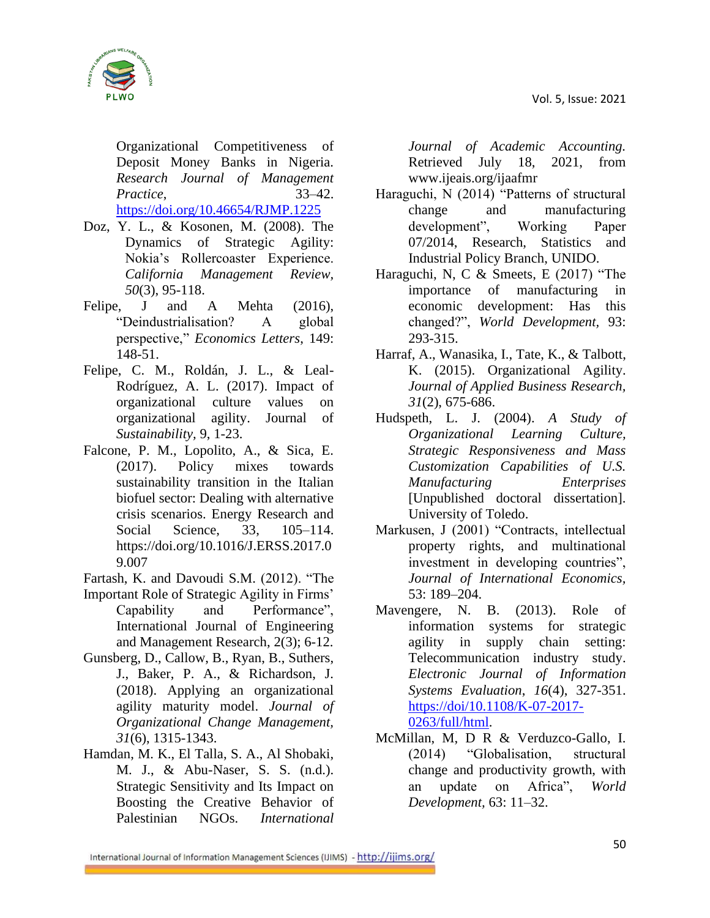

Organizational Competitiveness of Deposit Money Banks in Nigeria. *Research Journal of Management Practice*, 33–42. <https://doi.org/10.46654/RJMP.1225>

- Doz, Y. L., & Kosonen, M. (2008). The Dynamics of Strategic Agility: Nokia's Rollercoaster Experience. *California Management Review, 50*(3), 95-118.
- Felipe, J and A Mehta (2016), "Deindustrialisation? A global perspective," *Economics Letters*, 149: 148-51.
- Felipe, C. M., Roldán, J. L., & Leal-Rodríguez, A. L. (2017). Impact of organizational culture values on organizational agility. Journal of *Sustainability,* 9, 1-23.
- Falcone, P. M., Lopolito, A., & Sica, E. (2017). Policy mixes towards sustainability transition in the Italian biofuel sector: Dealing with alternative crisis scenarios. Energy Research and Social Science, 33, 105–114. https://doi.org/10.1016/J.ERSS.2017.0 9.007
- Fartash, K. and Davoudi S.M. (2012). "The
- Important Role of Strategic Agility in Firms' Capability and Performance", International Journal of Engineering and Management Research, 2(3); 6-12.
- Gunsberg, D., Callow, B., Ryan, B., Suthers, J., Baker, P. A., & Richardson, J. (2018). Applying an organizational agility maturity model. *Journal of Organizational Change Management, 31*(6), 1315-1343.
- Hamdan, M. K., El Talla, S. A., Al Shobaki, M. J., & Abu-Naser, S. S. (n.d.). Strategic Sensitivity and Its Impact on Boosting the Creative Behavior of Palestinian NGOs. *International*

*Journal of Academic Accounting.* Retrieved July 18, 2021, from www.ijeais.org/ijaafmr

- Haraguchi, N (2014) "Patterns of structural change and manufacturing development", Working Paper 07/2014, Research, Statistics and Industrial Policy Branch, UNIDO.
- Haraguchi, N, C & Smeets, E (2017) "The importance of manufacturing in economic development: Has this changed?", *World Development,* 93: 293-315.
- Harraf, A., Wanasika, I., Tate, K., & Talbott, K. (2015). Organizational Agility. *Journal of Applied Business Research, 31*(2), 675-686.
- Hudspeth, L. J. (2004). *A Study of Organizational Learning Culture, Strategic Responsiveness and Mass Customization Capabilities of U.S. Manufacturing Enterprises*  [Unpublished doctoral dissertation]. University of Toledo.
- Markusen, J (2001) "Contracts, intellectual property rights, and multinational investment in developing countries", *Journal of International Economics,* 53: 189–204.
- Mavengere, N. B. (2013). Role of information systems for strategic agility in supply chain setting: Telecommunication industry study. *Electronic Journal of Information Systems Evaluation*, *16*(4), 327-351. [https://doi/10.1108/K-07-2017-](https://doi/10.1108/K-07-2017-0263/full/html) [0263/full/html.](https://doi/10.1108/K-07-2017-0263/full/html)
- McMillan, M, D R & Verduzco-Gallo, I. (2014) "Globalisation, structural change and productivity growth, with an update on Africa", *World Development,* 63: 11–32.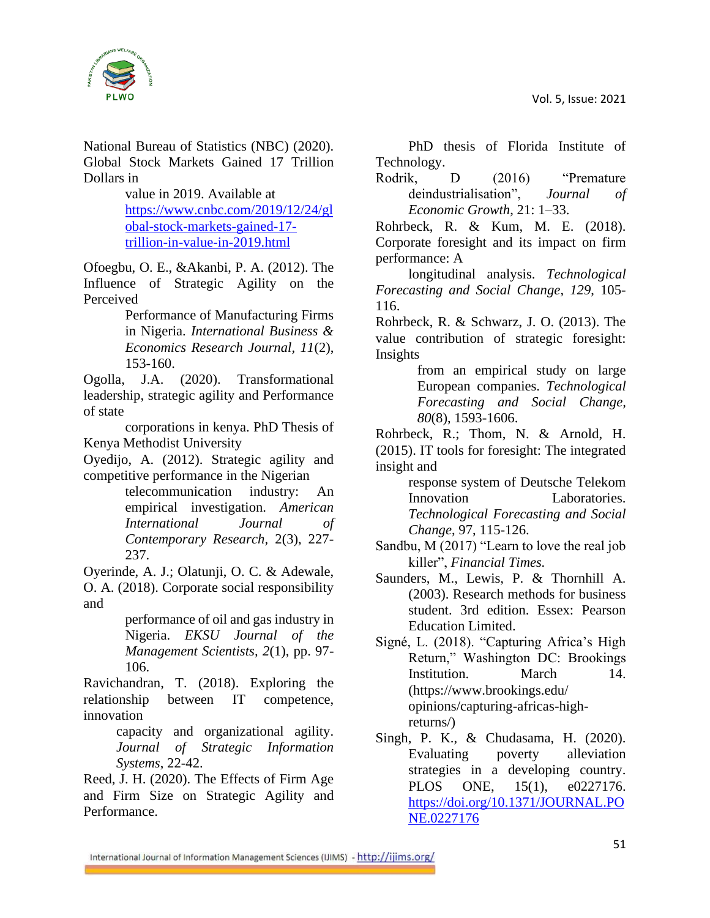

National Bureau of Statistics (NBC) (2020). Global Stock Markets Gained 17 Trillion Dollars in

> value in 2019. Available at [https://www.cnbc.com/2019/12/24/gl](https://www.cnbc.com/2019/12/24/global-stock-markets-gained-17-trillion-in-value-in-2019.html) [obal-stock-markets-gained-17](https://www.cnbc.com/2019/12/24/global-stock-markets-gained-17-trillion-in-value-in-2019.html) [trillion-in-value-in-2019.html](https://www.cnbc.com/2019/12/24/global-stock-markets-gained-17-trillion-in-value-in-2019.html)

Ofoegbu, O. E., &Akanbi, P. A. (2012). The Influence of Strategic Agility on the Perceived

> Performance of Manufacturing Firms in Nigeria. *International Business & Economics Research Journal, 11*(2), 153-160.

Ogolla, J.A. (2020). Transformational leadership, strategic agility and Performance of state

corporations in kenya. PhD Thesis of Kenya Methodist University

Oyedijo, A. (2012). Strategic agility and competitive performance in the Nigerian

telecommunication industry: An empirical investigation. *American International Journal of Contemporary Research,* 2(3), 227- 237.

Oyerinde, A. J.; Olatunji, O. C. & Adewale, O. A. (2018). Corporate social responsibility and

> performance of oil and gas industry in Nigeria. *EKSU Journal of the Management Scientists, 2*(1), pp. 97- 106.

Ravichandran, T. (2018). Exploring the relationship between IT competence, innovation

> capacity and organizational agility. *Journal of Strategic Information Systems*, 22-42.

Reed, J. H. (2020). The Effects of Firm Age and Firm Size on Strategic Agility and Performance.

PhD thesis of Florida Institute of Technology.

Rodrik, D (2016) "Premature deindustrialisation", *Journal of Economic Growth*, 21: 1–33.

Rohrbeck, R. & Kum, M. E. (2018). Corporate foresight and its impact on firm performance: A

longitudinal analysis. *Technological Forecasting and Social Change*, *129*, 105- 116.

Rohrbeck, R. & Schwarz, J. O. (2013). The value contribution of strategic foresight: Insights

from an empirical study on large European companies. *Technological Forecasting and Social Change, 80*(8), 1593-1606.

Rohrbeck, R.; Thom, N. & Arnold, H. (2015). IT tools for foresight: The integrated insight and

response system of Deutsche Telekom Innovation Laboratories. *Technological Forecasting and Social Change*, 97, 115-126.

- Sandbu, M (2017) "Learn to love the real job killer", *Financial Times.*
- Saunders, M., Lewis, P. & Thornhill A. (2003). Research methods for business student. 3rd edition. Essex: Pearson Education Limited.
- Signé, L. (2018). "Capturing Africa's High Return," Washington DC: Brookings Institution. March 14. (https://www.brookings.edu/ opinions/capturing-africas-highreturns/)
- Singh, P. K., & Chudasama, H. (2020). Evaluating poverty alleviation strategies in a developing country. PLOS ONE, 15(1), e0227176. [https://doi.org/10.1371/JOURNAL.PO](https://doi.org/10.1371/JOURNAL.PONE.0227176) [NE.0227176](https://doi.org/10.1371/JOURNAL.PONE.0227176)